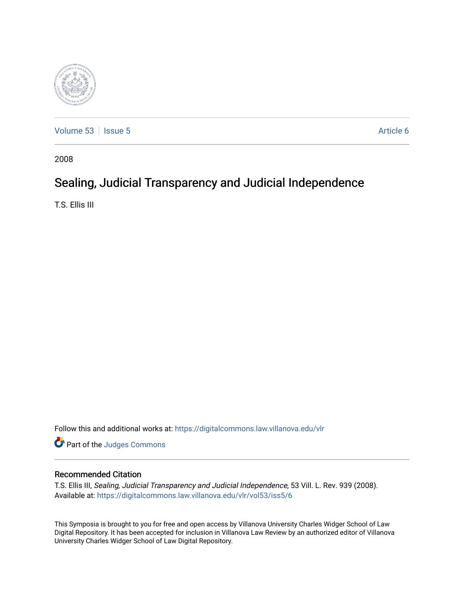

[Volume 53](https://digitalcommons.law.villanova.edu/vlr/vol53) | [Issue 5](https://digitalcommons.law.villanova.edu/vlr/vol53/iss5) Article 6

2008

# Sealing, Judicial Transparency and Judicial Independence

T.S. Ellis III

Follow this and additional works at: [https://digitalcommons.law.villanova.edu/vlr](https://digitalcommons.law.villanova.edu/vlr?utm_source=digitalcommons.law.villanova.edu%2Fvlr%2Fvol53%2Fiss5%2F6&utm_medium=PDF&utm_campaign=PDFCoverPages)

Part of the [Judges Commons](http://network.bepress.com/hgg/discipline/849?utm_source=digitalcommons.law.villanova.edu%2Fvlr%2Fvol53%2Fiss5%2F6&utm_medium=PDF&utm_campaign=PDFCoverPages) 

# Recommended Citation

T.S. Ellis III, Sealing, Judicial Transparency and Judicial Independence, 53 Vill. L. Rev. 939 (2008). Available at: [https://digitalcommons.law.villanova.edu/vlr/vol53/iss5/6](https://digitalcommons.law.villanova.edu/vlr/vol53/iss5/6?utm_source=digitalcommons.law.villanova.edu%2Fvlr%2Fvol53%2Fiss5%2F6&utm_medium=PDF&utm_campaign=PDFCoverPages) 

This Symposia is brought to you for free and open access by Villanova University Charles Widger School of Law Digital Repository. It has been accepted for inclusion in Villanova Law Review by an authorized editor of Villanova University Charles Widger School of Law Digital Repository.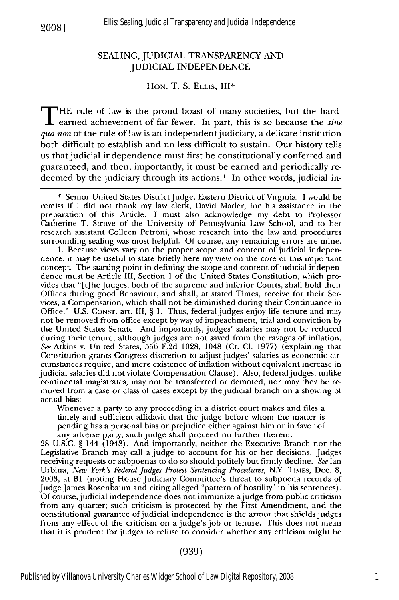## SEALING, JUDICIAL TRANSPARENCY AND JUDICIAL INDEPENDENCE

#### **HON.** T. S. **ELLIS, III\***

THE rule of law is the proud boast of many societies, but the hardearned achievement of far fewer. In part, this is so because the *sine qua non* of the rule of law is an independent judiciary, a delicate institution both difficult to establish and no less difficult to sustain. Our history tells us that judicial independence must first be constitutionally conferred and guaranteed, and then, importantly, it must be earned and periodically redeemed by the judiciary through its actions.<sup>1</sup> In other words, judicial in-

1. Because views vary on the proper scope and content of judicial independence, it may be useful to state briefly here my view on the core of this important concept. The starting point in defining the scope and content of judicial independence must be Article III, Section 1 of the United States Constitution, which provides that "[t]he Judges, both of the supreme and inferior Courts, shall hold their Offices during good Behaviour, and shall, at stated Times, receive for their Services, a Compensation, which shall not be diminished during their Continuance in Office." U.S. **CONST.** art. III, § 1. Thus, federal judges enjoy life tenure and may not be removed from office except by way of impeachment, trial and conviction by the United States Senate. And importantly, judges' salaries may not be reduced during their tenure, although judges are not saved from the ravages of inflation. *See* Atkins v. United States, 556 F.2d 1028, 1048 (Ct. **Cl.** 1977) (explaining that Constitution grants Congress discretion to adjust judges' salaries as economic circumstances require, and mere existence of inflation without equivalent increase in judicial salaries did not violate Compensation Clause). Also, federal judges, unlike continental magistrates, may not be transferred or demoted, nor may they be removed from a case or class of cases except by the judicial branch on a showing of actual bias:

Whenever a party to any proceeding in a district court makes and files a timely and sufficient affidavit that the judge before whom the matter is pending has a personal bias or prejudice either against him or in favor of any adverse party, such judge shall proceed no further therein.

28 U.S.C. § 144 (1948). And importantly, neither the Executive Branch nor the Legislative Branch may call a judge to account for his or her decisions. Judges receiving requests or subpoenas to do so should politely but firmly decline. *See* Ian Urbina, *New York's Federal Judges Protest Sentencing Procedures,* N.Y. TIMES, Dec. 8, 2003, at BI (noting House Judiciary Committee's threat to subpoena records of Judge James Rosenbaum and citing alleged "pattern of hostility" in his sentences). Of course, judicial independence does not immunize ajudge from public criticism from any quarter; such criticism is protected by the First Amendment, and the constitutional guarantee of judicial independence is the armor that shields judges from any effect of the criticism on a judge's job or tenure. This does not mean that it is prudent for judges to refuse to consider whether any criticism might be

#### (939)

**<sup>\*</sup>** Senior United States District Judge, Eastern District of Virginia. I would be remiss if I did not thank my law clerk, David Mader, for his assistance in the preparation of this Article. I must also acknowledge my debt to Professor Catherine T. Struve of the University of Pennsylvania Law School, and to her research assistant Colleen Petroni, whose research into the law and procedures surrounding sealing was most helpful. Of course, any remaining errors are mine.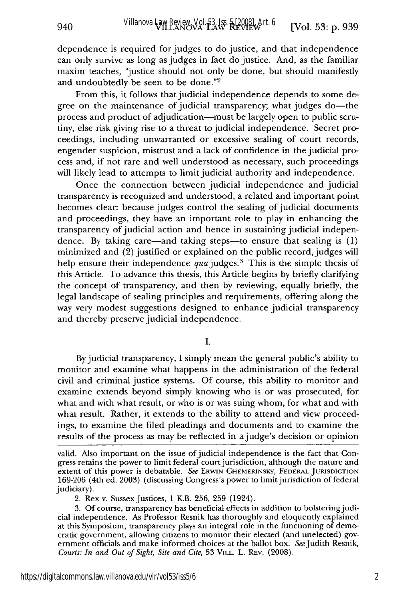dependence is required for judges to do justice, and that independence can only survive as long as judges in fact do justice. And, as the familiar maxim teaches, 'justice should not only be done, but should manifestly and undoubtedly be seen to be done."<sup>2</sup>

940

From this, it follows that judicial independence depends to some degree on the maintenance of judicial transparency; what judges do—the process and product of adjudication—must be largely open to public scrutiny, else risk giving rise to a threat to judicial independence. Secret proceedings, including unwarranted or excessive sealing of court records, engender suspicion, mistrust and a lack of confidence in the judicial process and, if not rare and well understood as necessary, such proceedings will likely lead to attempts to limit judicial authority and independence.

Once the connection between judicial independence and judicial transparency is recognized and understood, a related and important point becomes clear: because judges control the sealing of judicial documents and proceedings, they have an important role to play in enhancing the transparency of judicial action and hence in sustaining judicial independence. By taking care—and taking steps—to ensure that sealing is  $(1)$ minimized and (2) justified or explained on the public record, judges will help ensure their independence  $qua$  judges.<sup>3</sup> This is the simple thesis of this Article. To advance this thesis, this Article begins by briefly clarifying the concept of transparency, and then by reviewing, equally briefly, the legal landscape of sealing principles and requirements, offering along the way very modest suggestions designed to enhance judicial transparency and thereby preserve judicial independence.

I.

By judicial transparency, I simply mean the general public's ability to monitor and examine what happens in the administration of the federal civil and criminal justice systems. Of course, this ability to monitor and examine extends beyond simply knowing who is or was prosecuted, for what and with what result, or who is or was suing whom, for what and with what result. Rather, it extends to the ability to attend and view proceedings, to examine the filed pleadings and documents and to examine the results of the process as may be reflected in a judge's decision or opinion

valid. Also important on the issue of judicial independence is the fact that Congress retains the power to limit federal court jurisdiction, although the nature and extent of this power is debatable. *See* ERWIN CHEMERINSKY, **FEDERAL** JURISDICTION 169-206 (4th ed. 2003) (discussing Congress's power to limit jurisdiction of federal judiciary).

<sup>2.</sup> Rex v. Sussex Justices, 1 K.B. 256, 259 (1924).

<sup>3.</sup> Of course, transparency has beneficial effects in addition to bolsteringjudicial independence. As Professor Resnik has thoroughly and eloquently explained at this Symposium, transparency plays an integral role in the functioning of democratic government, allowing citizens to monitor their elected (and unelected) government officials and make informed choices at the ballot box. See Judith Resnik, *Courts: In and Out of Sight, Site and Cite,* 53 **VILL.** L. REv. (2008).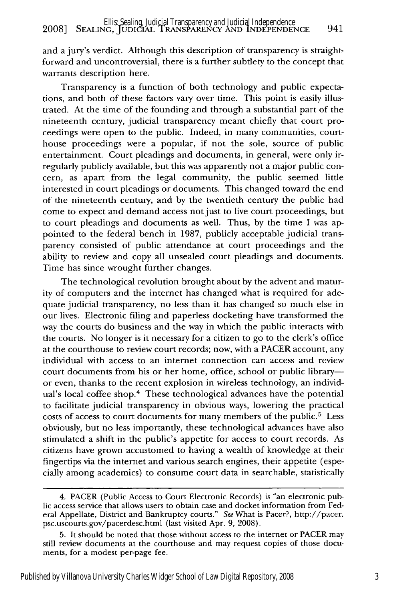and a jury's verdict. Although this description of transparency is straightforward and uncontroversial, there is a further subtlety to the concept that warrants description here.

Transparency is a function of both technology and public expectations, and both of these factors vary over time. This point is easily illustrated. At the time of the founding and through a substantial part of the nineteenth century, judicial transparency meant chiefly that court proceedings were open to the public. Indeed, in many communities, courthouse proceedings were a popular, if not the sole, source of public entertainment. Court pleadings and documents, in general, were only irregularly publicly available, but this was apparently not a major public concern, as apart from the legal community, the public seemed little interested in court pleadings or documents. This changed toward the end of the nineteenth century, and by the twentieth century the public had come to expect and demand access not just to live court proceedings, but to court pleadings and documents as well. Thus, by the time I was appointed to the federal bench in 1987, publicly acceptable judicial transparency consisted of public attendance at court proceedings and the ability to review and copy all unsealed court pleadings and documents. Time has since wrought further changes.

The technological revolution brought about by the advent and maturity of computers and the internet has changed what is required for adequate judicial transparency, no less than it has changed so much else in our lives. Electronic filing and paperless docketing have transformed the way the courts do business and the way in which the public interacts with the courts. No longer is it necessary for a citizen to go to the clerk's office at the courthouse to review court records; now, with a PACER account, any individual with access to an internet connection can access and review court documents from his or her home, office, school or public libraryor even, thanks to the recent explosion in wireless technology, an individual's local coffee shop.4 These technological advances have the potential to facilitate judicial transparency in obvious ways, lowering the practical costs of access to court documents for many members of the public.<sup>5</sup> Less obviously, but no less importantly, these technological advances have also stimulated a shift in the public's appetite for access to court records. As citizens have grown accustomed to having a wealth of knowledge at their fingertips via the internet and various search engines, their appetite (especially among academics) to consume court data in searchable, statistically

<sup>4.</sup> PACER (Public Access to Court Electronic Records) is "an electronic public access service that allows users to obtain case and docket information from Federal Appellate, District and Bankruptcy courts." See What is Pacer?, http://pacer. psc.uscourts.gov/pacerdesc.html (last visited Apr. 9, 2008).

<sup>5.</sup> It should be noted that those without access to the internet or PACER may still review documents at the courthouse and may request copies of those documents, for a modest per-page fee.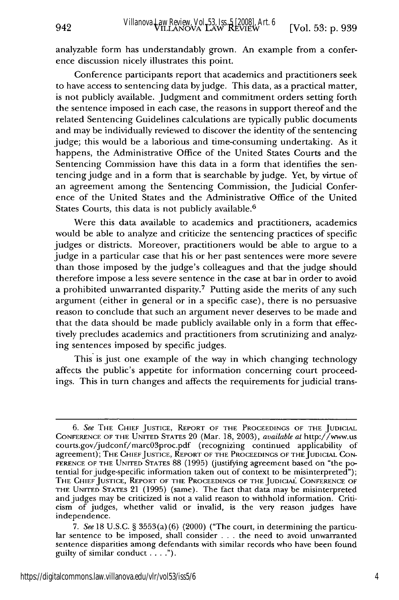analyzable form has understandably grown. An example from a conference discussion nicely illustrates this point.

942

Conference participants report that academics and practitioners seek to have access to sentencing data byjudge. This data, as a practical matter, is not publicly available. Judgment and commitment orders setting forth the sentence imposed in each case, the reasons in support thereof and the related Sentencing Guidelines calculations are typically public documents and may be individually reviewed to discover the identity of the sentencing judge; this would be a laborious and time-consuming undertaking. As it happens, the Administrative Office of the United States Courts and the Sentencing Commission have this data in a form that identifies the sentencing judge and in a form that is searchable by judge. Yet, by virtue of an agreement among the Sentencing Commission, the Judicial Conference of the United States and the Administrative Office of the United States Courts, this data is not publicly available. <sup>6</sup>

Were this data available to academics and practitioners, academics would be able to analyze and criticize the sentencing practices of specific judges or districts. Moreover, practitioners would be able to argue to a judge in a particular case that his or her past sentences were more severe than those imposed by the judge's colleagues and that the judge should therefore impose a less severe sentence in the case at bar in order to avoid a prohibited unwarranted disparity.<sup>7</sup> Putting aside the merits of any such argument (either in general or in a specific case), there is no persuasive reason to conclude that such an argument never deserves to be made and that the data should be made publicly available only in a form that effectively precludes academics and practitioners from scrutinizing and analyzing sentences imposed by specific judges.

This is just one example of the way in which changing technology affects the public's appetite for information concerning court proceedings. This in turn changes and affects the requirements for judicial trans-

*<sup>6.</sup> See* THE CHIEF JUSTICE, REPORT OF THE PROCEEDINGS OF THE JUDICIAL CONFERENCE OF THE UNITED STATES 20 (Mar. 18, 2003), *available at* http://www.us courts.gov/judconf/marc03proc.pdf (recognizing continued applicability of agreement); THE CHIEF JUSTICE, REPORT OF THE PROCEEDINGS OF THE JUDICIAL CON-FERENCE OF THE UNITED STATES 88 (1995) (justifying agreement based on "the potential for judge-specific information taken out of context to be misinterpreted"); THE CHIEF JUSTICE, REPORT OF THE PROCEEDINGS OF THE JUDICIAL CONFERENCE OF THE UNITED STATES 21 (1995) (same). The fact that data may be misinterpreted and judges may be criticized is not a valid reason to withhold information. Criticism of judges, whether valid or invalid, is the very reason judges have independence.

*<sup>7.</sup> See* 18 U.S.C. § 3553(a) (6) (2000) ("The court, in determining the particular sentence to be imposed, shall consider . . . the need to avoid unwarranted sentence disparities among defendants with similar records who have been found guilty of similar conduct **.... ").**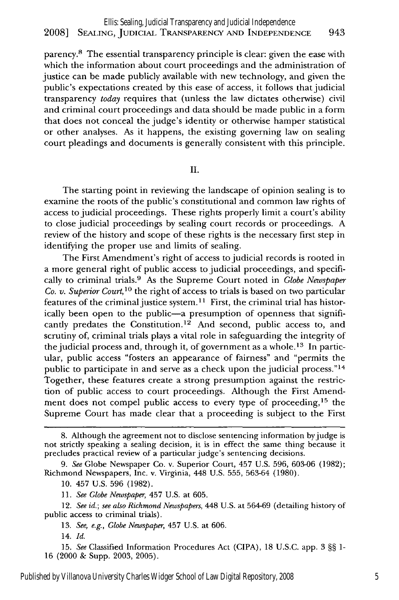parency.8 The essential transparency principle is clear: given the ease with which the information about court proceedings and the administration of justice can be made publicly available with new technology, and given the public's expectations created by this ease of access, it follows that judicial transparency *today* requires that (unless the law dictates otherwise) civil and criminal court proceedings and data should be made public in a form that does not conceal the judge's identity or otherwise hamper statistical or other analyses. As it happens, the existing governing law on sealing court pleadings and documents is generally consistent with this principle.

II.

The starting point in reviewing the landscape of opinion sealing is to examine the roots of the public's constitutional and common law rights of access to judicial proceedings. These rights properly limit a court's ability to close judicial proceedings by sealing court records or proceedings. A review of the history and scope of these rights is the necessary first step in identifying the proper use and limits of sealing.

The First Amendment's right of access to judicial records is rooted in a more general right of public access to judicial proceedings, and specifically to criminal trials.9 As the Supreme Court noted in *Globe Newspaper Co. v. Superior Court,10* the right of access to trials is based on two particular features of the criminal justice system.<sup>11</sup> First, the criminal trial has historically been open to the public-a presumption of openness that significantly predates the Constitution.<sup>12</sup> And second, public access to, and scrutiny of, criminal trials plays a vital role in safeguarding the integrity of the judicial process and, through it, of government as a whole.<sup>13</sup> In particular, public access "fosters an appearance of fairness" and "permits the public to participate in and serve as a check upon the judicial process." $14$ Together, these features create a strong presumption against the restriction of public access to court proceedings. Although the First Amendment does not compel public access to every type of proceeding,<sup>15</sup> the Supreme Court has made clear that a proceeding is subject to the First

*11. See Globe Newspaper,* 457 U.S. at 605.

12. *See id.; see also Richmond Newspapers,* 448 U.S. at 564-69 (detailing history of public access to criminal trials).

13. *See, e.g., Globe Newspaper,* 457 U.S. at 606.

14. *Id.*

15. *See* Classified Information Procedures Act (CIPA), 18 U.S.C. app. 3 §§ 1- 16 (2000 & Supp. 2003, 2005).

<sup>8.</sup> Although the agreement not to disclose sentencing information byjudge is not strictly speaking a sealing decision, it is in effect the same thing because it precludes practical review of a particular judge's sentencing decisions.

*<sup>9.</sup> See* Globe Newspaper Co. v. Superior Court, 457 U.S. 596, 603-06 (1982); Richmond Newspapers, Inc. v. Virginia, 448 U.S. 555, 563-64 (1980).

<sup>10. 457</sup> U.S. 596 (1982).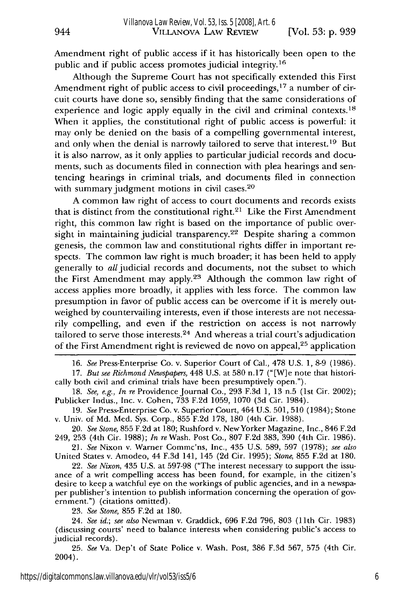Amendment right of public access if it has historically been open to the public and if public access promotes judicial integrity.<sup>16</sup>

Although the Supreme Court has not specifically extended this First Amendment right of public access to civil proceedings,<sup>17</sup> a number of circuit courts have done so, sensibly finding that the same considerations of experience and logic apply equally in the civil and criminal contexts.<sup>18</sup> When it applies, the constitutional right of public access is powerful: it may only be denied on the basis of a compelling governmental interest, and only when the denial is narrowly tailored to serve that interest.<sup>19</sup> But it is also narrow, as it only applies to particular judicial records and documents, such as documents filed in connection with plea hearings and sentencing hearings in criminal trials, and documents filed in connection with summary judgment motions in civil cases.<sup>20</sup>

A common law right of access to court documents and records exists that is distinct from the constitutional right. $21$  Like the First Amendment right, this common law right is based on the importance of public oversight in maintaining judicial transparency.<sup>22</sup> Despite sharing a common genesis, the common law and constitutional rights differ in important respects. The common law right is much broader; it has been held to apply generally to all judicial records and documents, not the subset to which the First Amendment may apply.<sup>23</sup> Although the common law right of access applies more broadly, it applies with less force. The common law presumption in favor of public access can be overcome if it is merely outweighed by countervailing interests, even if those interests are not necessarily compelling, and even if the restriction on access is not narrowly tailored to serve those interests.<sup>24</sup> And whereas a trial court's adjudication of the First Amendment right is reviewed de novo on appeal,<sup>25</sup> application

16. *See* Press-Enterprise Co. v. Superior Court of Cal., 478 U.S. 1, **8-9** (1986).

17. *But see Richmond Newspapers,* 448 U.S. at 580 n.17 ("[W]e note that historically both civil and criminal trials have been presumptively open.").

18. *See, e.g., In re* Providence Journal Co., 293 F.3d 1, 13 n.5 (1st Cir. 2002); Publicker Indus., Inc. v. Cohen, 733 F.2d 1059, 1070 (3d Cir. 1984).

19. SeePress-Enterprise Co. v. Superior Court, 464 U.S. 501, 510 (1984); Stone v. Univ. of Md. Med. Sys. Corp., 855 F.2d 178, 180 (4th Cir. 1988).

20. *See Stone,* 855 F.2d at 180; Rushford v. New Yorker Magazine, Inc., 846 F.2d 249, 253 (4th Cir. 1988); *In* reWash. Post Co., 807 F.2d 383, 390 (4th Cir. 1986).

*21. See* Nixon v. Warner Commc'ns, Inc., 435 U.S. 589, 597 (1978); *see also* United States v. Amodeo, 44 F.3d 141, 145 (2d Cir. 1995); *Stone,* 855 F.2d at 180.

22. *See Nixon,* 435 U.S. at 597-98 ("The interest necessary to support the issuance of a writ compelling access has been found, for example, in the citizen's desire to keep a watchful eye on the workings of public agencies, and in a newspaper publisher's intention to publish information concerning the operation of govemnment.") (citations omitted).

23. *See Stone,* 855 F.2d at 180.

24. *See id.; see also* Newman v. Graddick, 696 F.2d 796, 803 (11th Cir. 1983) (discussing courts' need to balance interests when considering public's access to judicial records).

25. *See* Va. Dep't of State Police v. Wash. Post, 386 F.3d 567, 575 (4th Cir. 2004).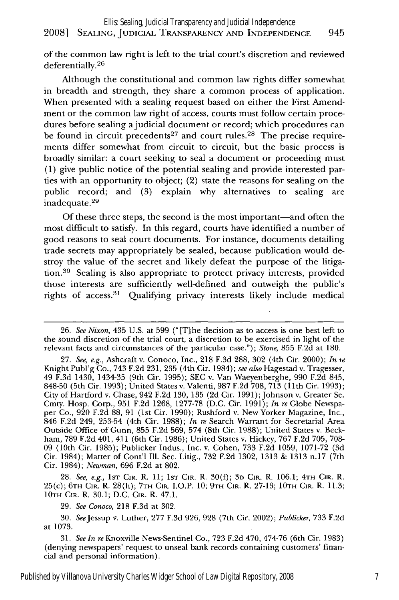## 2008] **SEALING,** JUDICIAL TRANSPARENCY **AND INDEPENDENCE** 945 Ellis: Sealing, Judicial Transparency and Judicial Independence

of the common law right is left to the trial court's discretion and reviewed deferentially.<sup>26</sup>

Although the constitutional and common law rights differ somewhat in breadth and strength, they share a common process of application. When presented with a sealing request based on either the First Amendment or the common law right of access, courts must follow certain procedures before sealing a judicial document or record; which procedures can be found in circuit precedents<sup>27</sup> and court rules.<sup>28</sup> The precise requirements differ somewhat from circuit to circuit, but the basic process is broadly similar: a court seeking to seal a document or proceeding must (1) give public notice of the potential sealing and provide interested parties with an opportunity to object; (2) state the reasons for sealing on the public record; and (3) explain why alternatives to sealing are inadequate. <sup>29</sup>

Of these three steps, the second is the most important-and often the most difficult **to** satisfy. In this regard, courts have identified a number of good reasons to seal court documents. For instance, documents detailing trade secrets may appropriately be sealed, because publication would destroy the value of the secret and likely defeat the purpose of the litigation.30 Sealing is also appropriate to protect privacy interests, provided those interests are sufficiently well-defined and outweigh the public's rights of access.<sup>31</sup> Qualifying privacy interests likely include medical

28. *See, e.g.,* **1ST CIR.** R. 11; **1ST** CIR. R. 30(f); **3D** CIR. R. 106.1; **4TH CIR.** R. 25(c); **6TH CIR.** R. 28(h); **7TH CIR.** I.O.P. **10;** 9TH **CIR.** R. 27-13; **10TH** CIR. R. 11.3; **10TH** CIR. R. 30.1; D.C. **CIR.** R. 47.1.

29. *See Conoco,* 218 F.3d at 302.

30. SeeJessup v. Luther, 277 F.3d 926, 928 (7th Cir. 2002); *Publicke,* 733 F.2d at 1073.

31. *See In* re Knoxville News-Sentinel Co., 723 F.2d 470, 474-76 (6th Cir. 1983) (denying newspapers' request to unseal bank records containing customers' financial and personal information).

<sup>26.</sup> *See Nixon,* 435 U.S. at 599 ("[T]he decision as to access is one best left to the sound discretion **of** the trial court, a discretion to be exercised in light **of** the relevant facts and circumstances of the particular case."); *Stone,* 855 F.2d at 180.

<sup>27.</sup> *See, e.g.,* Ashcraft v. Conoco, Inc., 218 F.3d 288, **302** (4th Cir. 2000); *In re* Knight Publ'g Co., 743 F.2d 231, 235 (4th Cir. 1984); *see also* Hagestad v. Tragesser, 49 F.3d 1430, 1434-35 (9th Cir. 1995); SEC v. Van Waeyenberghe, **990** F.2d 845, 848-50 (5th Cir. 1993); United States v. Valenti, 987 F.2d 708, 713 **(11th** Cir. 1993); City of Hartford v. Chase, 942 F.2d 130, 135 (2d Cir. 1991); Johnson v. Greater Se. Cmty. Hosp. Corp., 951 F.2d 1268, 1277-78 (D.C. Cir. 1991); *In re* Globe Newspaper Co., **920** F.2d 88, 91 (1st Cir. 1990); Rushford v. New Yorker Magazine, Inc., 846 F.2d 249, 253-54 (4th Cir. 1988); *In re* Search Warrant for Secretarial Area Outside Office of Gunn, 855 F.2d 569, 574 (8th Cir. 1988); United States v. Beckham, 789 F.2d 401, 411 (6th Cir. 1986); United States v. Hickey, 767 F.2d 705, 708- **09** (10th Cir. 1985); Publicker Indus., Inc. v. Cohen, 733 F.2d 1059, 1071-72 (3d Cir. 1984); Matter of Cont'l **Ill.** Sec. Litig., 732 F.2d 1302, 1313 & 1313 n.17 (7th Cir. 1984); *Newman,* 696 F.2d at 802.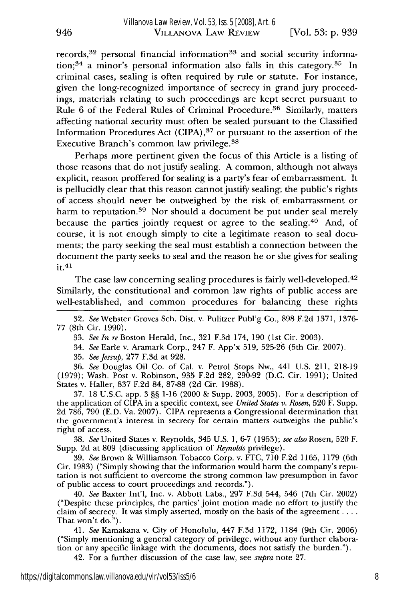records,<sup>32</sup> personal financial information<sup>33</sup> and social security information;<sup>34</sup> a minor's personal information also falls in this category.<sup>35</sup> In criminal cases, sealing is often required by rule or statute. For instance, given the long-recognized importance of secrecy in grand jury proceedings, materials relating to such proceedings are kept secret pursuant to Rule 6 of the Federal Rules of Criminal Procedure. 36 Similarly, matters affecting national security must often be sealed pursuant to the Classified Information Procedures Act (CIPA) **37** or pursuant to the assertion of the Executive Branch's common law privilege. <sup>38</sup>

Perhaps more pertinent given the focus of this Article is a listing of those reasons that do not justify sealing. A common, although not always explicit, reason proffered for sealing is a party's fear of embarrassment. It is pellucidly clear that this reason cannot justify sealing; the public's rights of access should never be outweighed by the risk of embarrassment or harm to reputation.<sup>39</sup> Nor should a document be put under seal merely because the parties jointly request or agree to the sealing.<sup>40</sup> And, of course, it is not enough simply to cite a legitimate reason to seal documents; the party seeking the seal must establish a connection between the document the party seeks to seal and the reason he or she gives for sealing  $it.<sup>41</sup>$ 

The case law concerning sealing procedures is fairly well-developed.<sup>42</sup> Similarly, the constitutional and common law rights of public access are well-established, and common procedures for balancing these rights

32. *See* Webster Groves Sch. Dist. v. Pulitzer Publ'g Co., 898 F.2d 1371, **1376- 77** (8th Cir. 1990).

33. *See In re* Boston Herald, Inc., 321 F.3d 174, **190** (1st Cir. 2003).

34. *See* Earle v. Aramark Corp., 247 F. App'x 519, 525-26 (5th Cir. 2007).

35. *SeeJessup,* 277 F.3d at 928.

36. *See* Douglas Oil Co. of Cal. v. Petrol Stops Nw., 441 U.S. 211, 218-19 (1979); Wash. Post v. Robinson, 935 F.2d 282, 290-92 (D.C. Cir. 1991); United States v. Haller, 837 F.2d 84, 87-88 (2d Cir. 1988).

37. 18 U.S.C. app. 3 §§ 1-16 (2000 & Supp. 2003, 2005). For a description of the application of CIPA in a specific context, see *United States v. Rosen,* 520 F. Supp. 2d 786, 790 (E.D. Va. 2007). CIPA represents a Congressional determination that the government's interest in secrecy for certain matters outweighs the public's right of access.

38. *See* United States v. Reynolds, 345 U.S. 1, 6-7 (1953); *see also* Rosen, 520 F. Supp. 2d at 809 (discussing application of *Reynolds* privilege).

39. *See* Brown & Williamson Tobacco Corp. v. FTC, 710 F.2d 1165, 1179 (6th Cir. 1983) ("Simply showing that the information would harm the company's reputation is not sufficient to overcome the strong common law presumption in favor of public access to court proceedings and records.").

40. *See* Baxter Int'l, Inc. v. Abbott Labs., 297 F.3d 544, 546 (7th Cir. 2002) ("Despite these principles, the parties' joint motion made no effort to justify the claim of secrecy. It was simply asserted, mostly on the basis of the agreement **....** That won't do.").

41. *See* Kamakana v. City of Honolulu, 447 F.3d 1172, 1184 (9th Cir. 2006) ("Simply mentioning a general category of privilege, without any further elaboration or any specific linkage with the documents, does not satisfy the burden.").

42. For a further discussion of the case law, see *supra* note 27.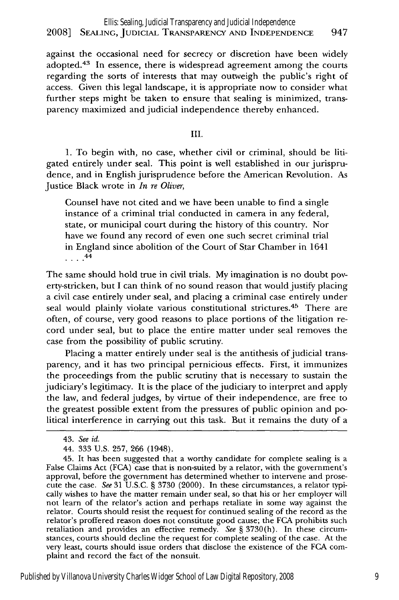against the occasional need for secrecy or discretion have been widely adopted. $43$  In essence, there is widespread agreement among the courts regarding the sorts of interests that may outweigh the public's right of access. Given this legal landscape, it is appropriate now to consider what further steps might be taken to ensure that sealing is minimized, transparency maximized and judicial independence thereby enhanced.

III.

1. To begin with, no case, whether civil or criminal, should be litigated entirely under seal. This point is well established in our jurisprudence, and in English jurisprudence before the American Revolution. As Justice Black wrote in *In re Oliver,*

Counsel have not cited and we have been unable to find a single instance of a criminal trial conducted in camera in any federal, state, or municipal court during the history of this country. Nor have we found any record of even one such secret criminal trial in England since abolition of the Court of Star Chamber in 1641  $\ldots$ <sup>44</sup>

The same should hold true in civil trials. My imagination is no doubt poverty-stricken, but I can think of no sound reason that would justify placing a civil case entirely under seal, and placing a criminal case entirely under seal would plainly violate various constitutional strictures.<sup>45</sup> There are often, of course, very good reasons to place portions of the litigation record under seal, but to place the entire matter under seal removes the case from the possibility of public scrutiny.

Placing a matter entirely under seal is the antithesis of judicial transparency, and it has two principal pernicious effects. First, it immunizes the proceedings from the public scrutiny that is necessary to sustain the judiciary's legitimacy. It is the place of the judiciary to interpret and apply the law, and federal judges, by virtue of their independence, are free to the greatest possible extent from the pressures of public opinion and political interference in carrying out this task. But it remains the duty of a

<sup>43.</sup> *See id.*

<sup>44. 333</sup> U.S. 257, 266 (1948).

<sup>45.</sup> It has been suggested that a worthy candidate for complete sealing is a False Claims Act (FCA) case that is non-suited by a relator, with the government's approval, before the government has determined whether to intervene and prosecute the case. *See* 31 U.S.C. § 3730 (2000). In these circumstances, a relator typically wishes to have the matter remain under seal, so that his or her employer will not learn of the relator's action and perhaps retaliate in some way against the relator. Courts should resist the request for continued sealing of the record as the relator's proffered reason does not constitute good cause; the FCA prohibits such retaliation and provides an effective remedy. *See* § 3730(h). In these circumstances, courts should decline the request for complete sealing of the case. At the very least, courts should issue orders that disclose the existence of the FCA complaint and record the fact of the nonsuit.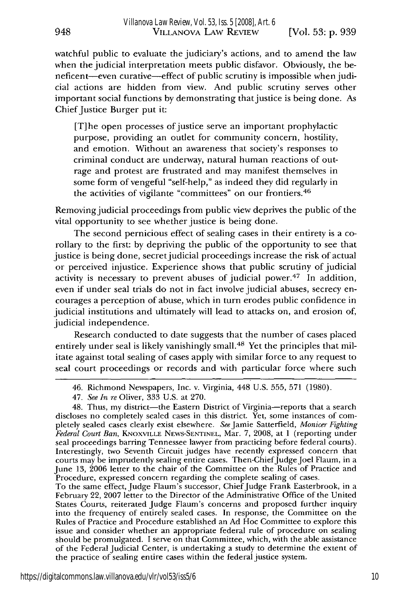948

watchful public to evaluate the judiciary's actions, and to amend the law when the judicial interpretation meets public disfavor. Obviously, the beneficent-even curative-effect of public scrutiny is impossible when judicial actions are hidden from view. And public scrutiny serves other important social functions by demonstrating that justice is being done. As Chief Justice Burger put it:

[T]he open processes of justice serve an important prophylactic purpose, providing an outlet for community concern, hostility, and emotion. Without an awareness that society's responses to criminal conduct are underway, natural human reactions of outrage and protest are frustrated and may manifest themselves in some form of vengeful "self-help," as indeed they did regularly in the activities of vigilante "committees" on our frontiers. <sup>46</sup>

Removing judicial proceedings from public view deprives the public of the vital opportunity to see whether justice is being done.

The second pernicious effect of sealing cases in their entirety is a corollary to the first: by depriving the public of the opportunity to see that justice is being done, secret judicial proceedings increase the risk of actual or perceived injustice. Experience shows that public scrutiny of judicial activity is necessary to prevent abuses of judicial power.<sup>47</sup> In addition, even if under seal trials do not in fact involve judicial abuses, secrecy encourages a perception of abuse, which in turn erodes public confidence in judicial institutions and ultimately will lead to attacks on, and erosion of, judicial independence.

Research conducted to date suggests that the number of cases placed entirely under seal is likely vanishingly small.<sup>48</sup> Yet the principles that militate against total sealing of cases apply with similar force to any request to seal court proceedings or records and with particular force where such

To the same effect, Judge Flaum's successor, Chief Judge Frank Easterbrook, in a February 22, 2007 letter to the Director of the Administrative Office of the United States Courts, reiterated Judge Flaum's concerns and proposed further inquiry into the frequency of entirely sealed cases. In response, the Committee on the Rules of Practice and Procedure established an Ad Hoc Committee to explore this issue and consider whether an appropriate federal rule of procedure on sealing should be promulgated. I serve on that Committee, which, with the able assistance of the Federal Judicial Center, is undertaking a study to determine the extent of the practice of sealing entire cases within the federal justice system.

<sup>46.</sup> Richmond Newspapers, Inc. v. Virginia, 448 U.S. 555, 571 (1980).

<sup>47.</sup> *See In re* Oliver, 333 U.S. at 270.

<sup>48.</sup> Thus, my district-the Eastern District of Virginia-reports that a search discloses no completely sealed cases in this district. Yet, some instances of completely sealed cases clearly exist elsewhere. SeeJamie Satterfield, *Monicer Fighting Federal Court Ban,* KNOXVILLE **NEWS-SENTINEL,** Mar. 7, 2008, at 1 (reporting under seal proceedings barring Tennessee lawyer from practicing before federal courts). Interestingly, two Seventh Circuit judges have recently expressed concern that courts may be imprudently sealing entire cases. Then-Chief Judge Joel Flaum, in a June 13, 2006 letter to the chair of the Committee on the Rules of Practice and Procedure, expressed concem regarding the complete sealing of cases.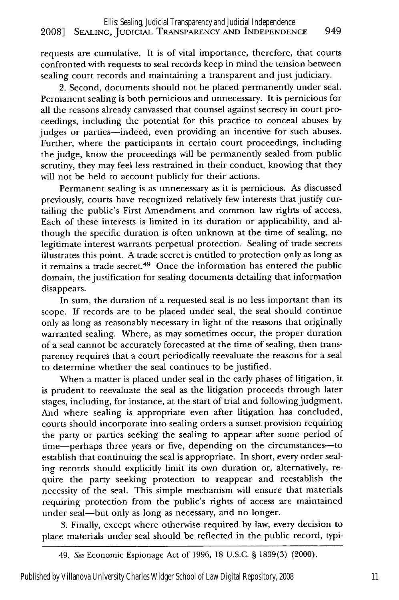#### 2008] **SEALING,** JUDICIAL TRANSPARENCY **AND INDEPENDENCE** 949 Ellis: Sealing, Judicial Transparency and Judicial Independence

requests are cumulative. It is of vital importance, therefore, that courts confronted with requests to seal records keep in mind the tension between sealing court records and maintaining a transparent and just judiciary.

2. Second, documents should not be placed permanently under seal. Permanent sealing is both pernicious and unnecessary. It is pernicious for all the reasons already canvassed that counsel against secrecy in court proceedings, including the potential for this practice to conceal abuses by judges or parties-indeed, even providing an incentive for such abuses. Further, where the participants in certain court proceedings, including the judge, know the proceedings will be permanently sealed from public scrutiny, they may feel less restrained in their conduct, knowing that they will not be held to account publicly for their actions.

Permanent sealing is as unnecessary as it is pernicious. As discussed previously, courts have recognized relatively few interests that justify curtailing the public's First Amendment and common law rights of access. Each of these interests is limited in its duration or applicability, and although the specific duration is often unknown at the time of sealing, no legitimate interest warrants perpetual protection. Sealing of trade secrets illustrates this point. A trade secret is entitled to protection only as long as **it** remains a trade secret.49 Once the information has entered the public domain, the justification for sealing documents detailing that information disappears.

In sum, the duration of a requested seal is no less important than its scope. If records are to be placed under seal, the seal should continue only as long as reasonably necessary in light of the reasons that originally warranted sealing. Where, as may sometimes occur, the proper duration of a seal cannot be accurately forecasted at the time of sealing, then transparency requires that a court periodically reevaluate the reasons for a seal to determine whether the seal continues to be justified.

When a matter is placed under seal in the early phases of litigation, it is prudent to reevaluate the seal as the litigation proceeds through later stages, including, for instance, at the start of trial and following judgment. And where sealing is appropriate even after litigation has concluded, courts should incorporate into sealing orders a sunset provision requiring the party or parties seeking the sealing to appear after some period of time-perhaps three years or five, depending on the circumstances-to establish that continuing the seal is appropriate. In short, every order sealing records should explicitly limit its own duration or, alternatively, require the party seeking protection to reappear and reestablish the necessity of the seal. This simple mechanism will ensure that materials requiring protection from the public's rights of access are maintained under seal-but only as long as necessary, and no longer.

3. Finally, except where otherwise required by law, every decision to place materials under seal should be reflected in the public record, typi-

<sup>49.</sup> See Economic Espionage Act of 1996, 18 U.S.C. § 1839(3) (2000).